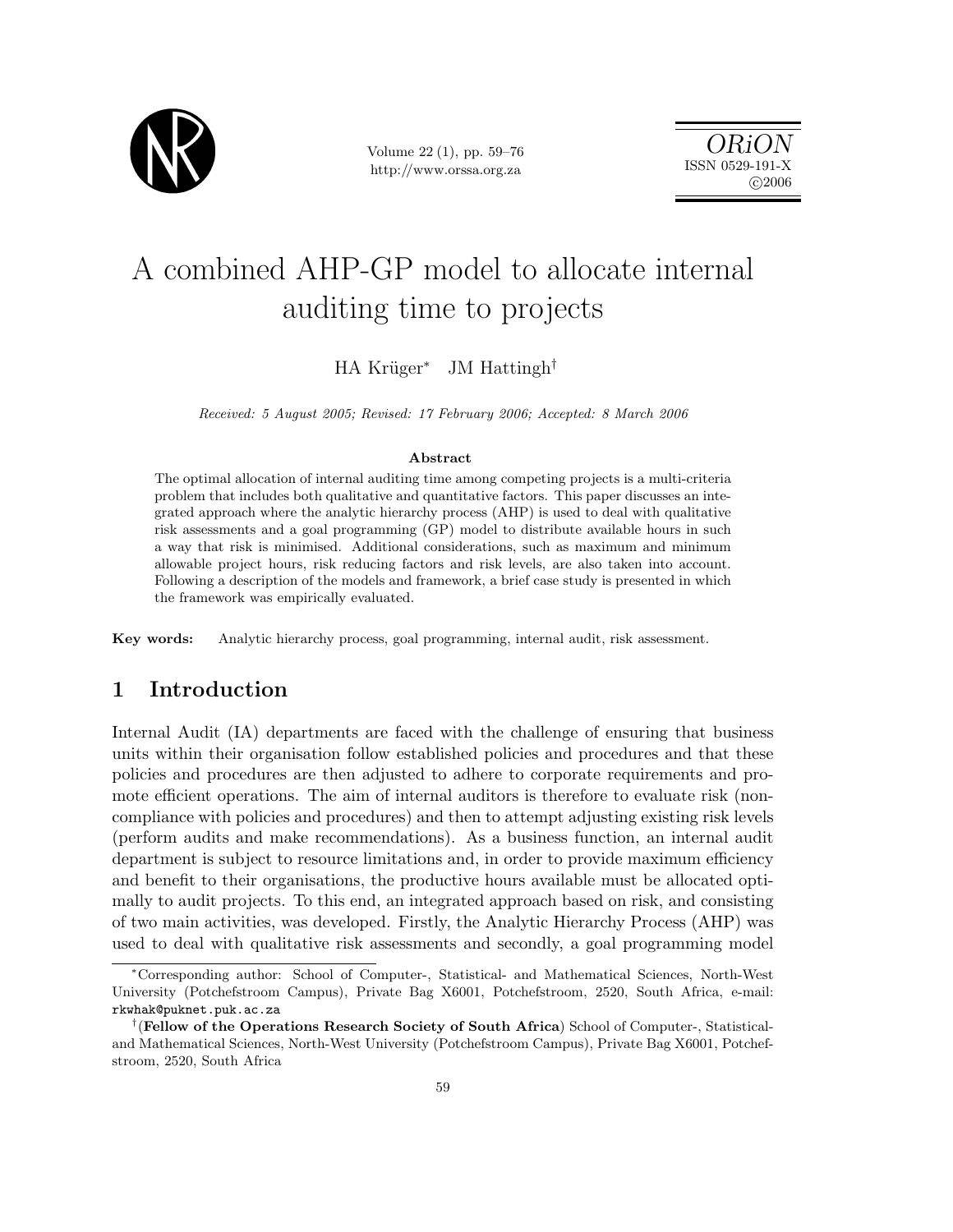

Volume 22 (1), pp. 59–76 http://www.orssa.org.za

ORiON ISSN 0529-191-X  $C$  2006

# A combined AHP-GP model to allocate internal auditing time to projects

HA Krüger<sup>∗</sup> JM Hattingh<sup>†</sup>

Received: 5 August 2005; Revised: 17 February 2006; Accepted: 8 March 2006

#### Abstract

The optimal allocation of internal auditing time among competing projects is a multi-criteria problem that includes both qualitative and quantitative factors. This paper discusses an integrated approach where the analytic hierarchy process (AHP) is used to deal with qualitative risk assessments and a goal programming (GP) model to distribute available hours in such a way that risk is minimised. Additional considerations, such as maximum and minimum allowable project hours, risk reducing factors and risk levels, are also taken into account. Following a description of the models and framework, a brief case study is presented in which the framework was empirically evaluated.

Key words: Analytic hierarchy process, goal programming, internal audit, risk assessment.

# 1 Introduction

Internal Audit (IA) departments are faced with the challenge of ensuring that business units within their organisation follow established policies and procedures and that these policies and procedures are then adjusted to adhere to corporate requirements and promote efficient operations. The aim of internal auditors is therefore to evaluate risk (noncompliance with policies and procedures) and then to attempt adjusting existing risk levels (perform audits and make recommendations). As a business function, an internal audit department is subject to resource limitations and, in order to provide maximum efficiency and benefit to their organisations, the productive hours available must be allocated optimally to audit projects. To this end, an integrated approach based on risk, and consisting of two main activities, was developed. Firstly, the Analytic Hierarchy Process (AHP) was used to deal with qualitative risk assessments and secondly, a goal programming model

<sup>∗</sup>Corresponding author: School of Computer-, Statistical- and Mathematical Sciences, North-West University (Potchefstroom Campus), Private Bag X6001, Potchefstroom, 2520, South Africa, e-mail: rkwhak@puknet.puk.ac.za

<sup>&</sup>lt;sup>†</sup> (Fellow of the Operations Research Society of South Africa) School of Computer-, Statisticaland Mathematical Sciences, North-West University (Potchefstroom Campus), Private Bag X6001, Potchefstroom, 2520, South Africa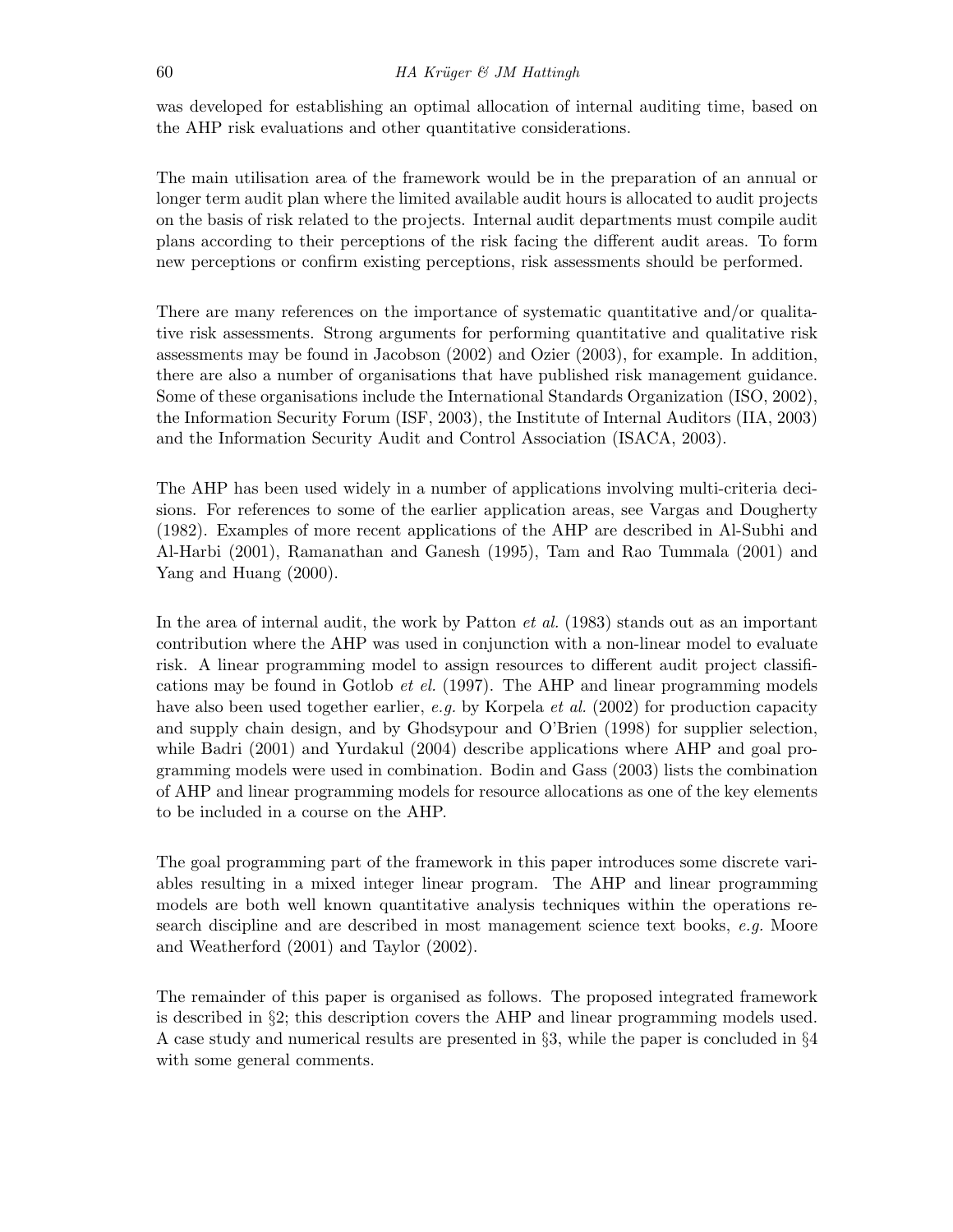was developed for establishing an optimal allocation of internal auditing time, based on the AHP risk evaluations and other quantitative considerations.

The main utilisation area of the framework would be in the preparation of an annual or longer term audit plan where the limited available audit hours is allocated to audit projects on the basis of risk related to the projects. Internal audit departments must compile audit plans according to their perceptions of the risk facing the different audit areas. To form new perceptions or confirm existing perceptions, risk assessments should be performed.

There are many references on the importance of systematic quantitative and/or qualitative risk assessments. Strong arguments for performing quantitative and qualitative risk assessments may be found in Jacobson (2002) and Ozier (2003), for example. In addition, there are also a number of organisations that have published risk management guidance. Some of these organisations include the International Standards Organization (ISO, 2002), the Information Security Forum (ISF, 2003), the Institute of Internal Auditors (IIA, 2003) and the Information Security Audit and Control Association (ISACA, 2003).

The AHP has been used widely in a number of applications involving multi-criteria decisions. For references to some of the earlier application areas, see Vargas and Dougherty (1982). Examples of more recent applications of the AHP are described in Al-Subhi and Al-Harbi (2001), Ramanathan and Ganesh (1995), Tam and Rao Tummala (2001) and Yang and Huang (2000).

In the area of internal audit, the work by Patton *et al.* (1983) stands out as an important contribution where the AHP was used in conjunction with a non-linear model to evaluate risk. A linear programming model to assign resources to different audit project classifications may be found in Gotlob *et el.* (1997). The AHP and linear programming models have also been used together earlier, e.g. by Korpela et al. (2002) for production capacity and supply chain design, and by Ghodsypour and O'Brien (1998) for supplier selection, while Badri (2001) and Yurdakul (2004) describe applications where AHP and goal programming models were used in combination. Bodin and Gass (2003) lists the combination of AHP and linear programming models for resource allocations as one of the key elements to be included in a course on the AHP.

The goal programming part of the framework in this paper introduces some discrete variables resulting in a mixed integer linear program. The AHP and linear programming models are both well known quantitative analysis techniques within the operations research discipline and are described in most management science text books, e.g. Moore and Weatherford (2001) and Taylor (2002).

The remainder of this paper is organised as follows. The proposed integrated framework is described in §2; this description covers the AHP and linear programming models used. A case study and numerical results are presented in §3, while the paper is concluded in §4 with some general comments.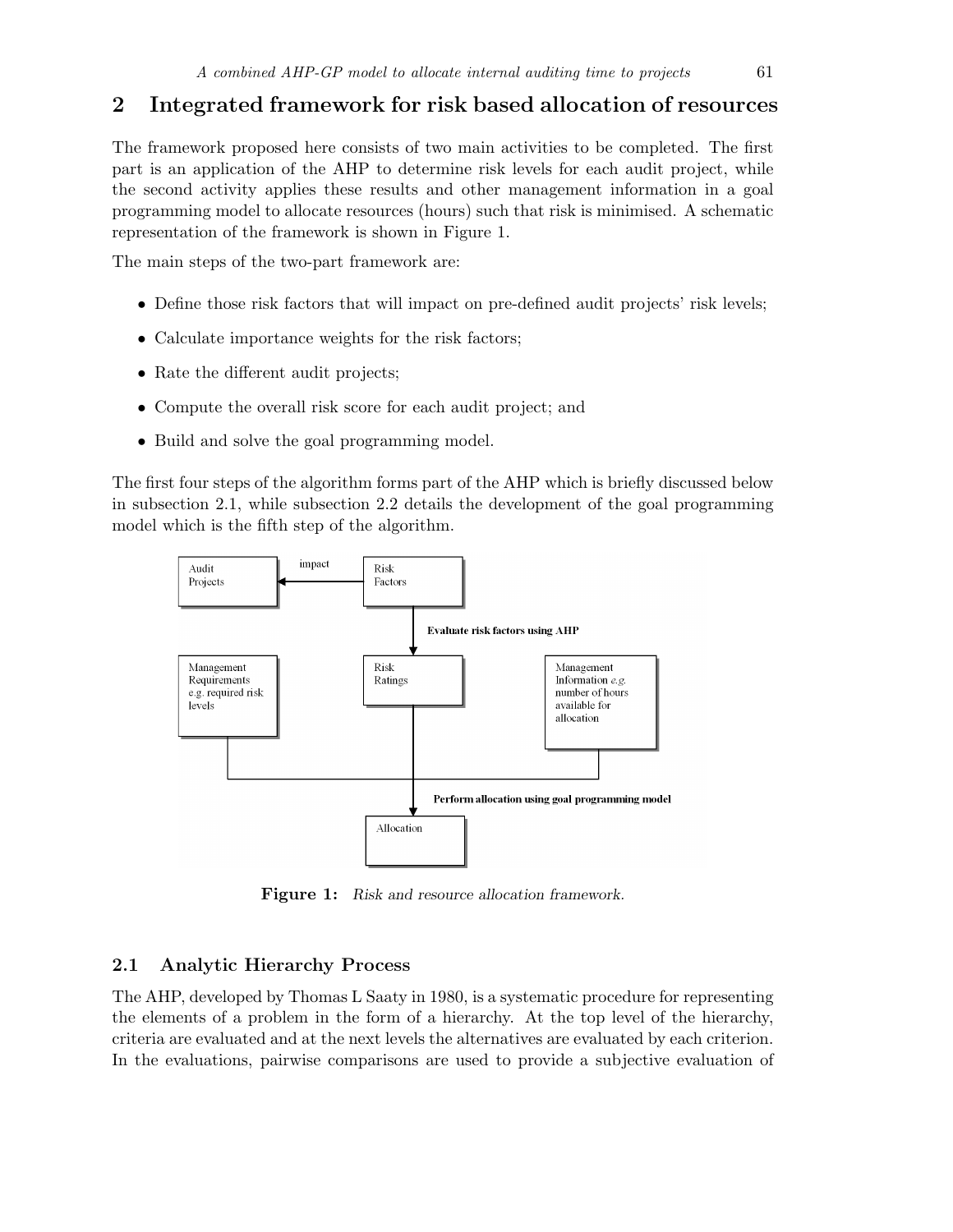# 2 Integrated framework for risk based allocation of resources

The framework proposed here consists of two main activities to be completed. The first part is an application of the AHP to determine risk levels for each audit project, while the second activity applies these results and other management information in a goal programming model to allocate resources (hours) such that risk is minimised. A schematic representation of the framework is shown in Figure 1.

The main steps of the two-part framework are:

- Define those risk factors that will impact on pre-defined audit projects' risk levels;
- Calculate importance weights for the risk factors;
- Rate the different audit projects;
- Compute the overall risk score for each audit project; and
- Build and solve the goal programming model.

The first four steps of the algorithm forms part of the AHP which is briefly discussed below in subsection 2.1, while subsection 2.2 details the development of the goal programming model which is the fifth step of the algorithm.



Figure 1: Risk and resource allocation framework.

## 2.1 Analytic Hierarchy Process

The AHP, developed by Thomas L Saaty in 1980, is a systematic procedure for representing the elements of a problem in the form of a hierarchy. At the top level of the hierarchy, criteria are evaluated and at the next levels the alternatives are evaluated by each criterion. In the evaluations, pairwise comparisons are used to provide a subjective evaluation of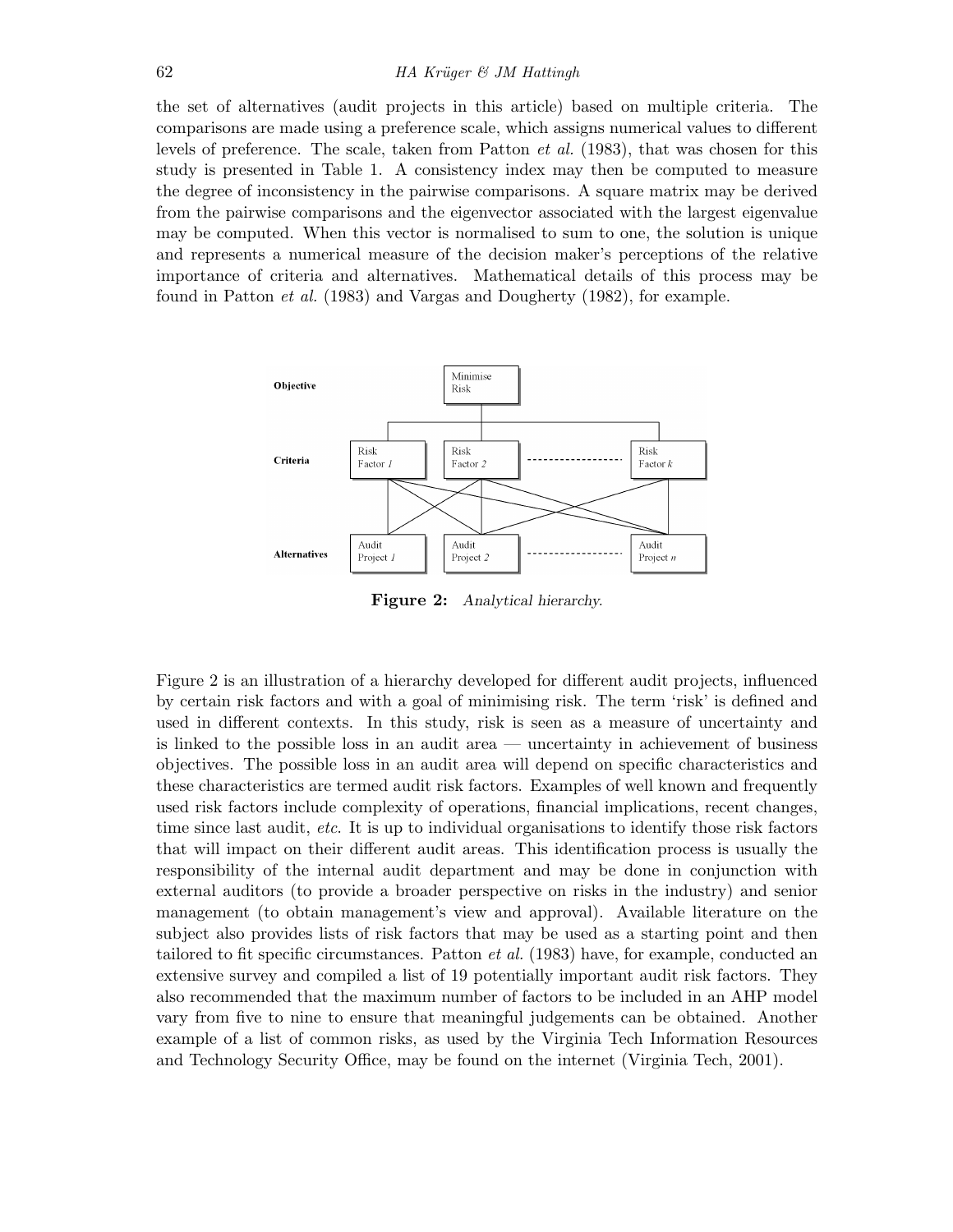the set of alternatives (audit projects in this article) based on multiple criteria. The comparisons are made using a preference scale, which assigns numerical values to different levels of preference. The scale, taken from Patton et al. (1983), that was chosen for this study is presented in Table 1. A consistency index may then be computed to measure the degree of inconsistency in the pairwise comparisons. A square matrix may be derived from the pairwise comparisons and the eigenvector associated with the largest eigenvalue may be computed. When this vector is normalised to sum to one, the solution is unique and represents a numerical measure of the decision maker's perceptions of the relative importance of criteria and alternatives. Mathematical details of this process may be found in Patton et al. (1983) and Vargas and Dougherty (1982), for example.



Figure 2: Analytical hierarchy.

Figure 2 is an illustration of a hierarchy developed for different audit projects, influenced by certain risk factors and with a goal of minimising risk. The term 'risk' is defined and used in different contexts. In this study, risk is seen as a measure of uncertainty and is linked to the possible loss in an audit area — uncertainty in achievement of business objectives. The possible loss in an audit area will depend on specific characteristics and these characteristics are termed audit risk factors. Examples of well known and frequently used risk factors include complexity of operations, financial implications, recent changes, time since last audit, etc. It is up to individual organisations to identify those risk factors that will impact on their different audit areas. This identification process is usually the responsibility of the internal audit department and may be done in conjunction with external auditors (to provide a broader perspective on risks in the industry) and senior management (to obtain management's view and approval). Available literature on the subject also provides lists of risk factors that may be used as a starting point and then tailored to fit specific circumstances. Patton et al. (1983) have, for example, conducted an extensive survey and compiled a list of 19 potentially important audit risk factors. They also recommended that the maximum number of factors to be included in an AHP model vary from five to nine to ensure that meaningful judgements can be obtained. Another example of a list of common risks, as used by the Virginia Tech Information Resources and Technology Security Office, may be found on the internet (Virginia Tech, 2001).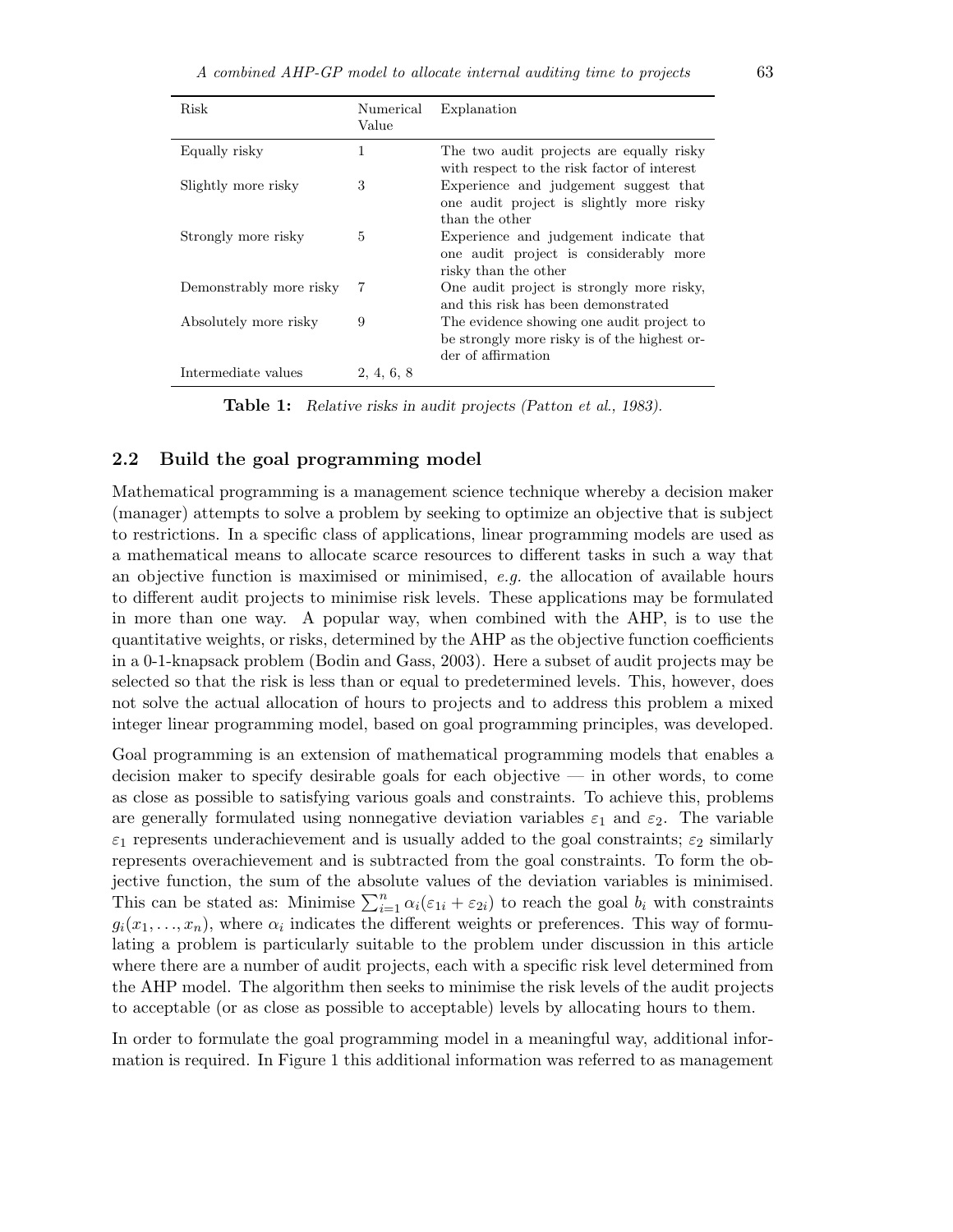| Risk                    | Numerical<br>Value | Explanation                                                                                                     |
|-------------------------|--------------------|-----------------------------------------------------------------------------------------------------------------|
| Equally risky           | 1                  | The two audit projects are equally risky<br>with respect to the risk factor of interest                         |
| Slightly more risky     | 3                  | Experience and judgement suggest that<br>one audit project is slightly more risky<br>than the other             |
| Strongly more risky     | 5                  | Experience and judgement indicate that<br>one audit project is considerably more<br>risky than the other        |
| Demonstrably more risky | 7                  | One audit project is strongly more risky,<br>and this risk has been demonstrated                                |
| Absolutely more risky   | 9                  | The evidence showing one audit project to<br>be strongly more risky is of the highest or-<br>der of affirmation |
| Intermediate values     | 2, 4, 6, 8         |                                                                                                                 |

Table 1: Relative risks in audit projects (Patton et al., 1983).

#### 2.2 Build the goal programming model

Mathematical programming is a management science technique whereby a decision maker (manager) attempts to solve a problem by seeking to optimize an objective that is subject to restrictions. In a specific class of applications, linear programming models are used as a mathematical means to allocate scarce resources to different tasks in such a way that an objective function is maximised or minimised,  $e.g.$  the allocation of available hours to different audit projects to minimise risk levels. These applications may be formulated in more than one way. A popular way, when combined with the AHP, is to use the quantitative weights, or risks, determined by the AHP as the objective function coefficients in a 0-1-knapsack problem (Bodin and Gass, 2003). Here a subset of audit projects may be selected so that the risk is less than or equal to predetermined levels. This, however, does not solve the actual allocation of hours to projects and to address this problem a mixed integer linear programming model, based on goal programming principles, was developed.

Goal programming is an extension of mathematical programming models that enables a decision maker to specify desirable goals for each objective — in other words, to come as close as possible to satisfying various goals and constraints. To achieve this, problems are generally formulated using nonnegative deviation variables  $\varepsilon_1$  and  $\varepsilon_2$ . The variable  $\varepsilon_1$  represents underachievement and is usually added to the goal constraints;  $\varepsilon_2$  similarly represents overachievement and is subtracted from the goal constraints. To form the objective function, the sum of the absolute values of the deviation variables is minimised. This can be stated as: Minimise  $\sum_{i=1}^{n} \alpha_i(\epsilon_{1i} + \epsilon_{2i})$  to reach the goal  $b_i$  with constraints  $g_i(x_1, \ldots, x_n)$ , where  $\alpha_i$  indicates the different weights or preferences. This way of formulating a problem is particularly suitable to the problem under discussion in this article where there are a number of audit projects, each with a specific risk level determined from the AHP model. The algorithm then seeks to minimise the risk levels of the audit projects to acceptable (or as close as possible to acceptable) levels by allocating hours to them.

In order to formulate the goal programming model in a meaningful way, additional information is required. In Figure 1 this additional information was referred to as management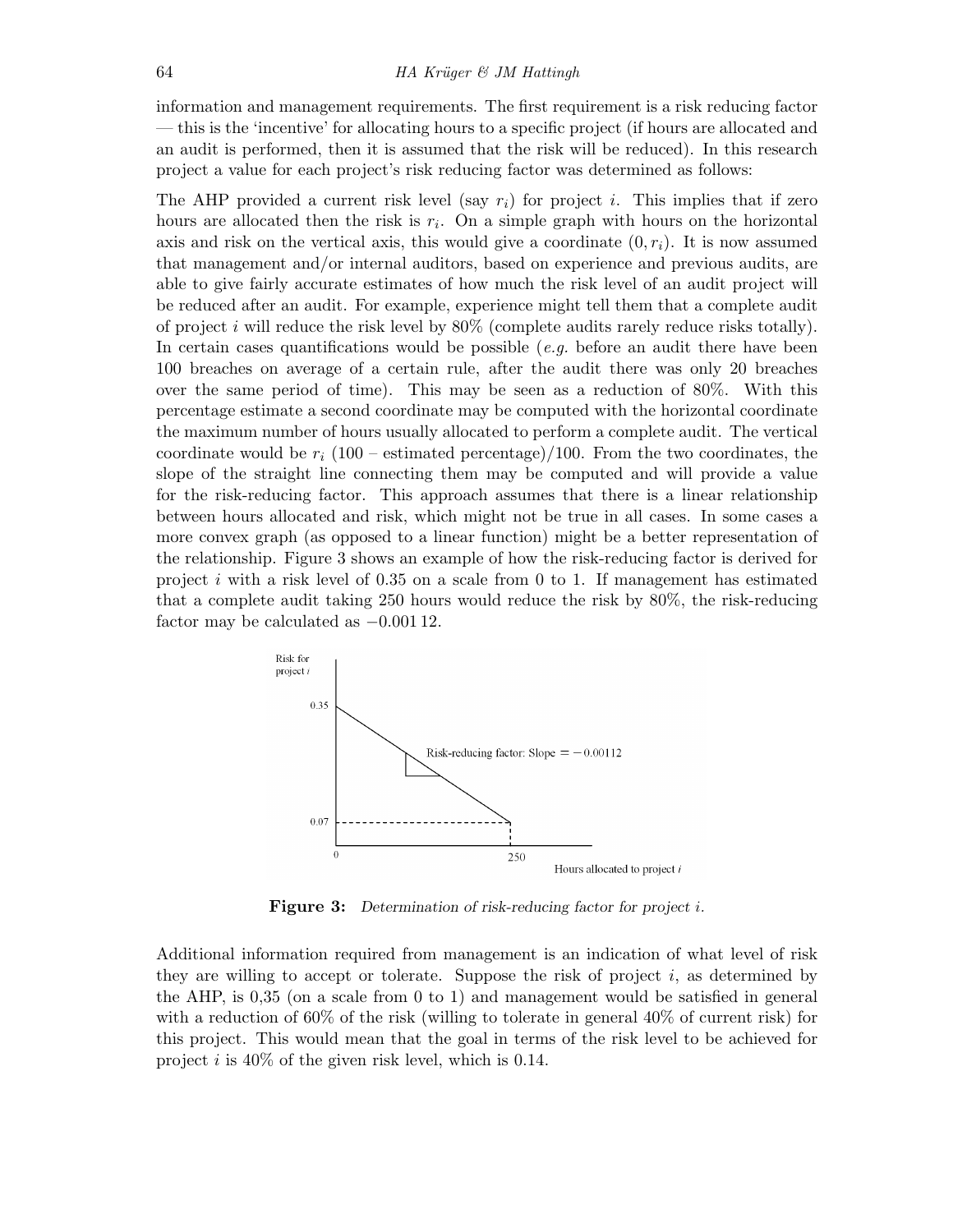information and management requirements. The first requirement is a risk reducing factor — this is the 'incentive' for allocating hours to a specific project (if hours are allocated and an audit is performed, then it is assumed that the risk will be reduced). In this research project a value for each project's risk reducing factor was determined as follows:

The AHP provided a current risk level (say  $r_i$ ) for project i. This implies that if zero hours are allocated then the risk is  $r_i$ . On a simple graph with hours on the horizontal axis and risk on the vertical axis, this would give a coordinate  $(0, r_i)$ . It is now assumed that management and/or internal auditors, based on experience and previous audits, are able to give fairly accurate estimates of how much the risk level of an audit project will be reduced after an audit. For example, experience might tell them that a complete audit of project i will reduce the risk level by  $80\%$  (complete audits rarely reduce risks totally). In certain cases quantifications would be possible (*e.g.* before an audit there have been 100 breaches on average of a certain rule, after the audit there was only 20 breaches over the same period of time). This may be seen as a reduction of 80%. With this percentage estimate a second coordinate may be computed with the horizontal coordinate the maximum number of hours usually allocated to perform a complete audit. The vertical coordinate would be  $r_i$  (100 – estimated percentage)/100. From the two coordinates, the slope of the straight line connecting them may be computed and will provide a value for the risk-reducing factor. This approach assumes that there is a linear relationship between hours allocated and risk, which might not be true in all cases. In some cases a more convex graph (as opposed to a linear function) might be a better representation of the relationship. Figure 3 shows an example of how the risk-reducing factor is derived for project i with a risk level of 0.35 on a scale from 0 to 1. If management has estimated that a complete audit taking 250 hours would reduce the risk by 80%, the risk-reducing factor may be calculated as −0.001 12.



Figure 3: Determination of risk-reducing factor for project *i*.

Additional information required from management is an indication of what level of risk they are willing to accept or tolerate. Suppose the risk of project  $i$ , as determined by the AHP, is 0,35 (on a scale from 0 to 1) and management would be satisfied in general with a reduction of 60% of the risk (willing to tolerate in general 40% of current risk) for this project. This would mean that the goal in terms of the risk level to be achieved for project  $i$  is 40% of the given risk level, which is 0.14.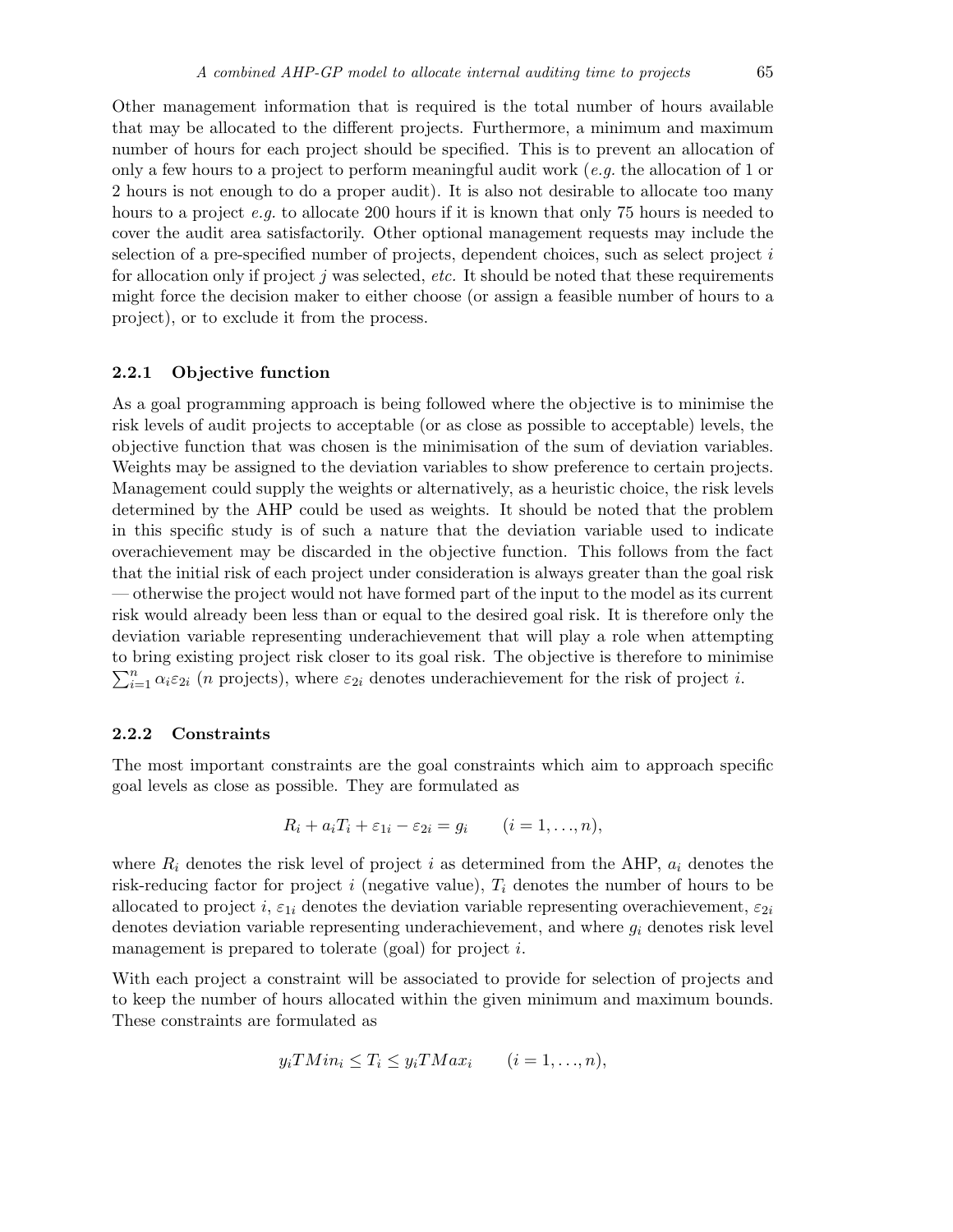Other management information that is required is the total number of hours available that may be allocated to the different projects. Furthermore, a minimum and maximum number of hours for each project should be specified. This is to prevent an allocation of only a few hours to a project to perform meaningful audit work (e.g. the allocation of 1 or 2 hours is not enough to do a proper audit). It is also not desirable to allocate too many hours to a project e.g. to allocate 200 hours if it is known that only 75 hours is needed to cover the audit area satisfactorily. Other optional management requests may include the selection of a pre-specified number of projects, dependent choices, such as select project  $i$ for allocation only if project j was selected, etc. It should be noted that these requirements might force the decision maker to either choose (or assign a feasible number of hours to a project), or to exclude it from the process.

#### 2.2.1 Objective function

As a goal programming approach is being followed where the objective is to minimise the risk levels of audit projects to acceptable (or as close as possible to acceptable) levels, the objective function that was chosen is the minimisation of the sum of deviation variables. Weights may be assigned to the deviation variables to show preference to certain projects. Management could supply the weights or alternatively, as a heuristic choice, the risk levels determined by the AHP could be used as weights. It should be noted that the problem in this specific study is of such a nature that the deviation variable used to indicate overachievement may be discarded in the objective function. This follows from the fact that the initial risk of each project under consideration is always greater than the goal risk — otherwise the project would not have formed part of the input to the model as its current risk would already been less than or equal to the desired goal risk. It is therefore only the deviation variable representing underachievement that will play a role when attempting to bring existing project risk closer to its goal risk. The objective is therefore to minimise  $\sum_{i=1}^{n} \alpha_i \varepsilon_{2i}$  (*n* projects), where  $\varepsilon_{2i}$  denotes underachievement for the risk of project *i*.

#### 2.2.2 Constraints

The most important constraints are the goal constraints which aim to approach specific goal levels as close as possible. They are formulated as

$$
R_i + a_i T_i + \varepsilon_{1i} - \varepsilon_{2i} = g_i \qquad (i = 1, \ldots, n),
$$

where  $R_i$  denotes the risk level of project i as determined from the AHP,  $a_i$  denotes the risk-reducing factor for project i (negative value),  $T_i$  denotes the number of hours to be allocated to project i,  $\varepsilon_{1i}$  denotes the deviation variable representing overachievement,  $\varepsilon_{2i}$ denotes deviation variable representing underachievement, and where  $g_i$  denotes risk level management is prepared to tolerate (goal) for project i.

With each project a constraint will be associated to provide for selection of projects and to keep the number of hours allocated within the given minimum and maximum bounds. These constraints are formulated as

$$
y_i T Min_i \le T_i \le y_i T Max_i \qquad (i = 1, ..., n),
$$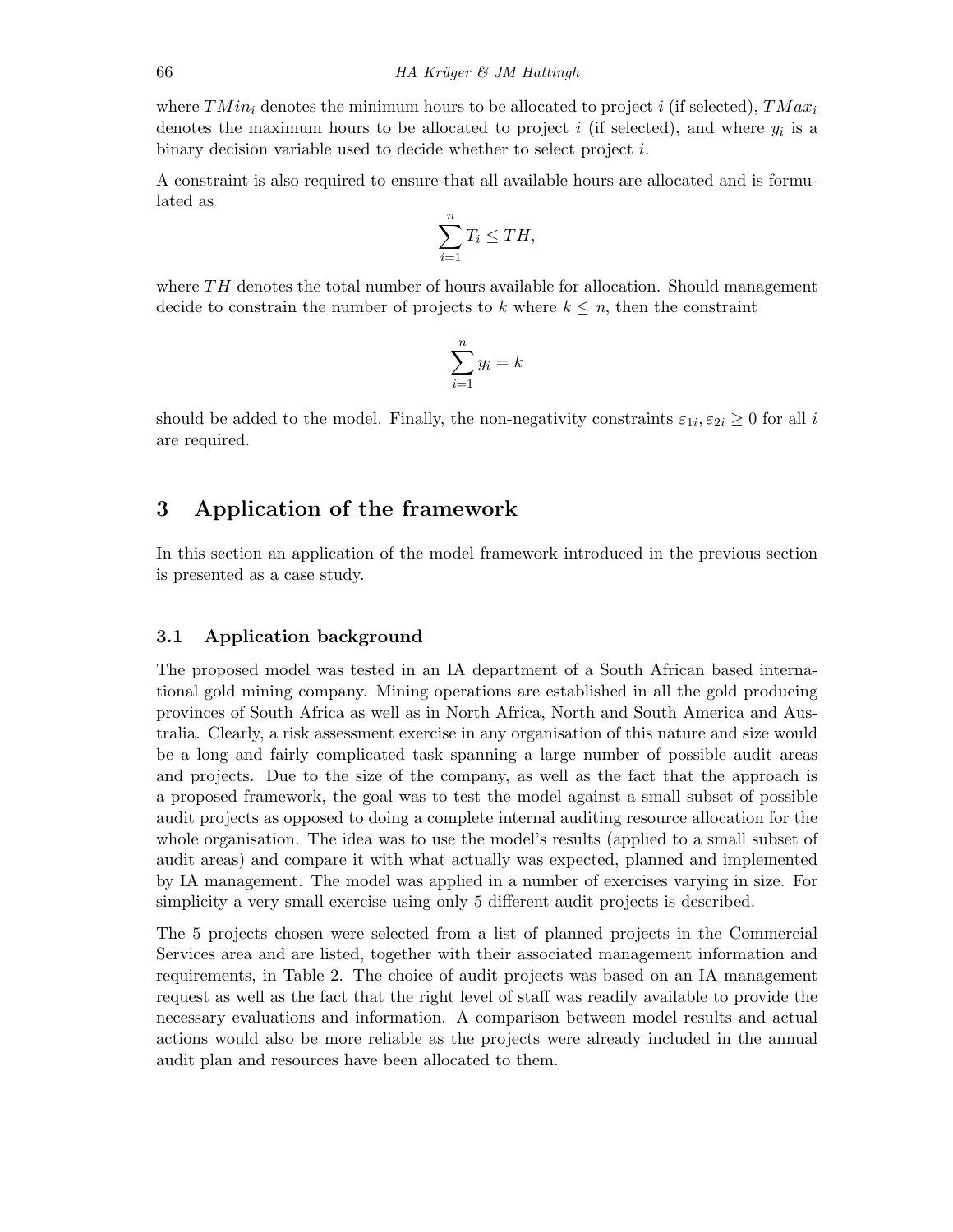where  $TMin_i$  denotes the minimum hours to be allocated to project i (if selected),  $TMax_i$ denotes the maximum hours to be allocated to project i (if selected), and where  $y_i$  is a binary decision variable used to decide whether to select project i.

A constraint is also required to ensure that all available hours are allocated and is formulated as

$$
\sum_{i=1}^{n} T_i \leq TH,
$$

where  $TH$  denotes the total number of hours available for allocation. Should management decide to constrain the number of projects to k where  $k \leq n$ , then the constraint

$$
\sum_{i=1}^{n} y_i = k
$$

should be added to the model. Finally, the non-negativity constraints  $\varepsilon_{1i}, \varepsilon_{2i} \ge 0$  for all i are required.

# 3 Application of the framework

In this section an application of the model framework introduced in the previous section is presented as a case study.

## 3.1 Application background

The proposed model was tested in an IA department of a South African based international gold mining company. Mining operations are established in all the gold producing provinces of South Africa as well as in North Africa, North and South America and Australia. Clearly, a risk assessment exercise in any organisation of this nature and size would be a long and fairly complicated task spanning a large number of possible audit areas and projects. Due to the size of the company, as well as the fact that the approach is a proposed framework, the goal was to test the model against a small subset of possible audit projects as opposed to doing a complete internal auditing resource allocation for the whole organisation. The idea was to use the model's results (applied to a small subset of audit areas) and compare it with what actually was expected, planned and implemented by IA management. The model was applied in a number of exercises varying in size. For simplicity a very small exercise using only 5 different audit projects is described.

The 5 projects chosen were selected from a list of planned projects in the Commercial Services area and are listed, together with their associated management information and requirements, in Table 2. The choice of audit projects was based on an IA management request as well as the fact that the right level of staff was readily available to provide the necessary evaluations and information. A comparison between model results and actual actions would also be more reliable as the projects were already included in the annual audit plan and resources have been allocated to them.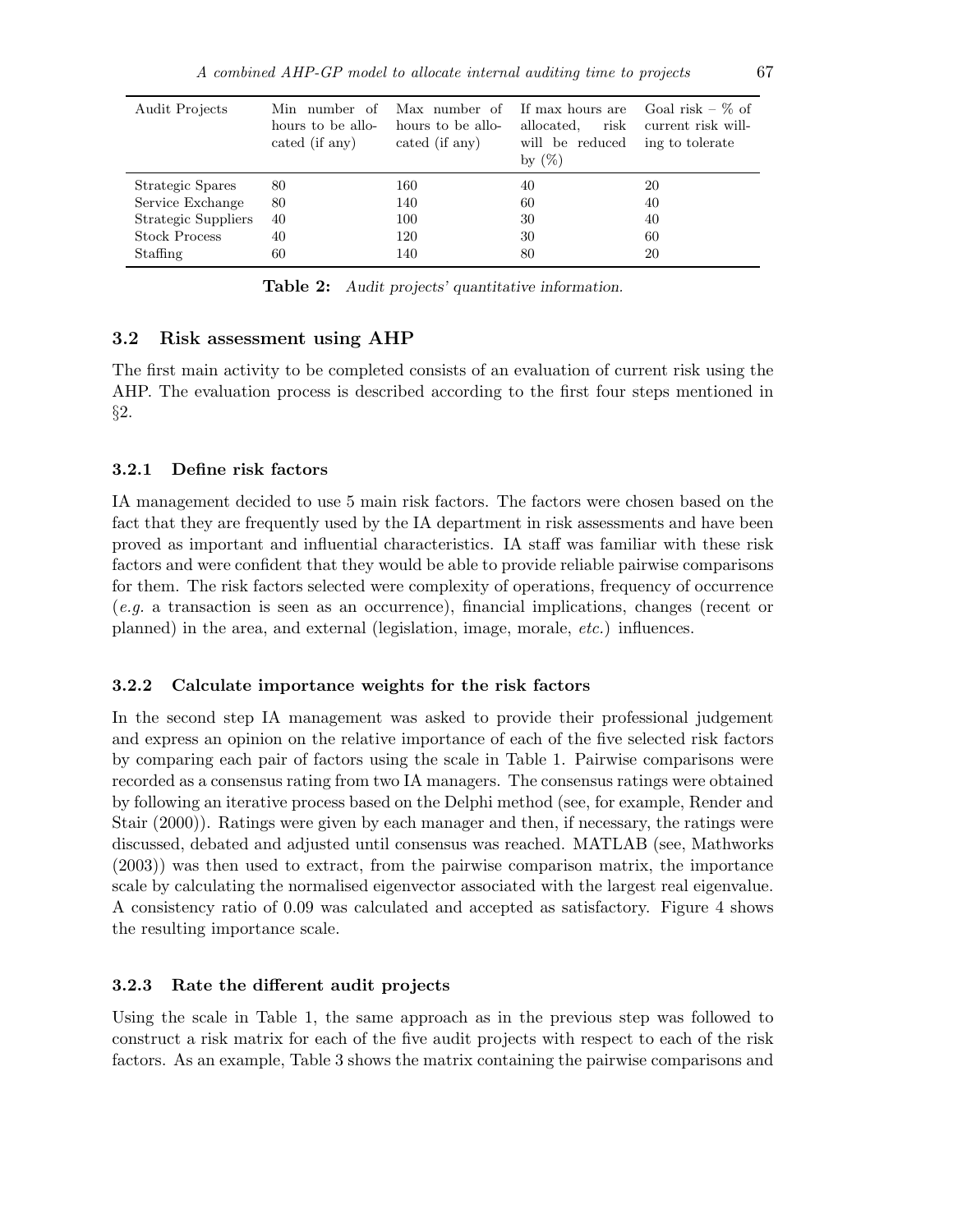| Audit Projects      | Min number of<br>hours to be allo-<br>cated (if any) | Max number of<br>hours to be allo-<br>cated (if any) | If max hours are<br>risk<br>allocated.<br>will be reduced<br>by $(\%)$ | Goal risk – $\%$ of<br>current risk will-<br>ing to tolerate |
|---------------------|------------------------------------------------------|------------------------------------------------------|------------------------------------------------------------------------|--------------------------------------------------------------|
| Strategic Spares    | 80                                                   | 160                                                  | 40                                                                     | 20                                                           |
| Service Exchange    | 80                                                   | 140                                                  | 60                                                                     | 40                                                           |
| Strategic Suppliers | 40                                                   | 100                                                  | 30                                                                     | 40                                                           |
| Stock Process       | 40                                                   | 120                                                  | 30                                                                     | 60                                                           |
| Staffing            | 60                                                   | 140                                                  | 80                                                                     | 20                                                           |

**Table 2:** Audit projects' quantitative information.

#### 3.2 Risk assessment using AHP

The first main activity to be completed consists of an evaluation of current risk using the AHP. The evaluation process is described according to the first four steps mentioned in §2.

#### 3.2.1 Define risk factors

IA management decided to use 5 main risk factors. The factors were chosen based on the fact that they are frequently used by the IA department in risk assessments and have been proved as important and influential characteristics. IA staff was familiar with these risk factors and were confident that they would be able to provide reliable pairwise comparisons for them. The risk factors selected were complexity of operations, frequency of occurrence (e.g. a transaction is seen as an occurrence), financial implications, changes (recent or planned) in the area, and external (legislation, image, morale, etc.) influences.

## 3.2.2 Calculate importance weights for the risk factors

In the second step IA management was asked to provide their professional judgement and express an opinion on the relative importance of each of the five selected risk factors by comparing each pair of factors using the scale in Table 1. Pairwise comparisons were recorded as a consensus rating from two IA managers. The consensus ratings were obtained by following an iterative process based on the Delphi method (see, for example, Render and Stair (2000)). Ratings were given by each manager and then, if necessary, the ratings were discussed, debated and adjusted until consensus was reached. MATLAB (see, Mathworks (2003)) was then used to extract, from the pairwise comparison matrix, the importance scale by calculating the normalised eigenvector associated with the largest real eigenvalue. A consistency ratio of 0.09 was calculated and accepted as satisfactory. Figure 4 shows the resulting importance scale.

## 3.2.3 Rate the different audit projects

Using the scale in Table 1, the same approach as in the previous step was followed to construct a risk matrix for each of the five audit projects with respect to each of the risk factors. As an example, Table 3 shows the matrix containing the pairwise comparisons and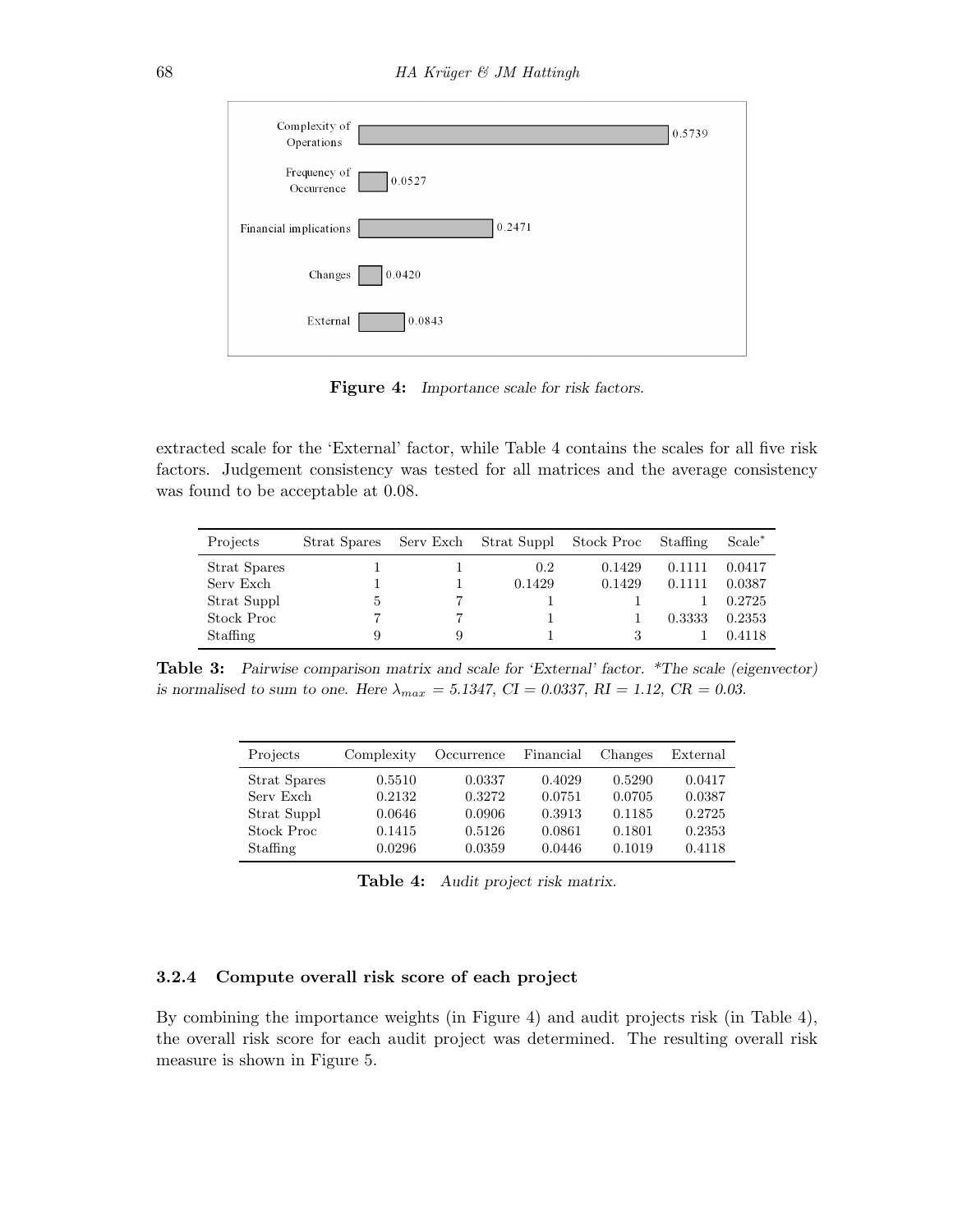| Complexity of<br>Operations |        | 0.5739 |
|-----------------------------|--------|--------|
| Frequency of<br>Occurrence  | 0.0527 |        |
| Financial implications      | 0.2471 |        |
| Changes                     | 0.0420 |        |
| External                    | 0.0843 |        |

Figure 4: Importance scale for risk factors.

extracted scale for the 'External' factor, while Table 4 contains the scales for all five risk factors. Judgement consistency was tested for all matrices and the average consistency was found to be acceptable at 0.08.

| Projects     | Strat Spares | Serv Exch | Strat Suppl | Stock Proc | Staffing | Scale <sup>*</sup> |
|--------------|--------------|-----------|-------------|------------|----------|--------------------|
| Strat Spares |              |           | 0.2         | 0.1429     | 0.1111   | 0.0417             |
| Serv Exch    |              |           | 0.1429      | 0.1429     | 0.1111   | 0.0387             |
| Strat Suppl  | Ð            |           |             |            |          | 0.2725             |
| Stock Proc   |              |           |             |            | 0.3333   | 0.2353             |
| Staffing     |              | 9         |             |            |          | 0.4118             |

Table 3: Pairwise comparison matrix and scale for 'External' factor. \*The scale (eigenvector) is normalised to sum to one. Here  $\lambda_{max} = 5.1347$ ,  $CI = 0.0337$ ,  $RI = 1.12$ ,  $CR = 0.03$ .

| Projects     | Complexity | Occurrence | Financial | Changes | External |
|--------------|------------|------------|-----------|---------|----------|
| Strat Spares | 0.5510     | 0.0337     | 0.4029    | 0.5290  | 0.0417   |
| Serv Exch    | 0.2132     | 0.3272     | 0.0751    | 0.0705  | 0.0387   |
| Strat Suppl  | 0.0646     | 0.0906     | 0.3913    | 0.1185  | 0.2725   |
| Stock Proc   | 0.1415     | 0.5126     | 0.0861    | 0.1801  | 0.2353   |
| Staffing     | 0.0296     | 0.0359     | 0.0446    | 0.1019  | 0.4118   |

Table 4: Audit project risk matrix.

#### 3.2.4 Compute overall risk score of each project

By combining the importance weights (in Figure 4) and audit projects risk (in Table 4), the overall risk score for each audit project was determined. The resulting overall risk measure is shown in Figure 5.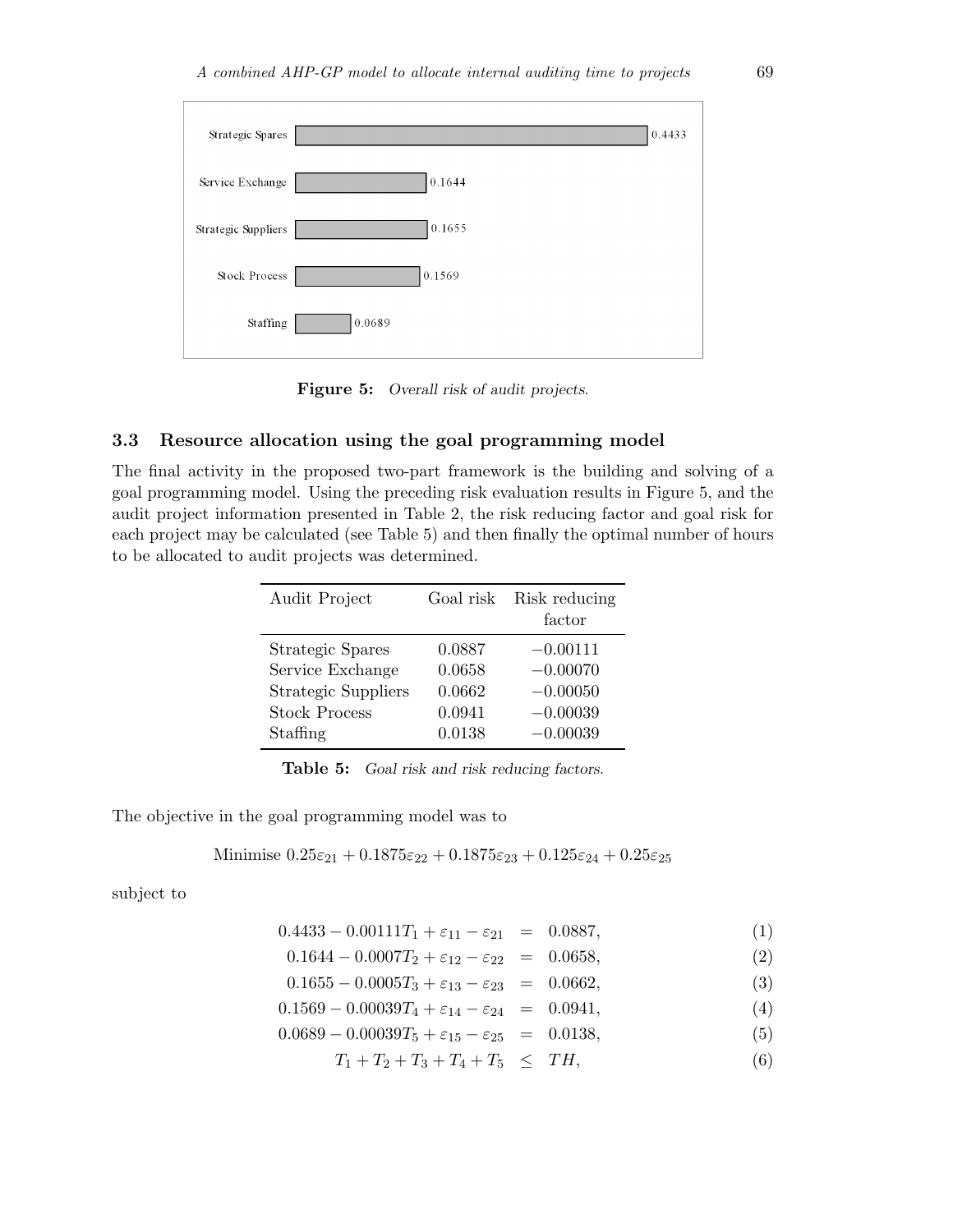| Strategic Spares     | 0.4433 |
|----------------------|--------|
| Service Exchange     | 0.1644 |
| Strategic Suppliers  | 0.1655 |
| <b>Stock Process</b> | 0.1569 |
| Staffing             | 0.0689 |

Figure 5: Overall risk of audit projects.

# 3.3 Resource allocation using the goal programming model

The final activity in the proposed two-part framework is the building and solving of a goal programming model. Using the preceding risk evaluation results in Figure 5, and the audit project information presented in Table 2, the risk reducing factor and goal risk for each project may be calculated (see Table 5) and then finally the optimal number of hours to be allocated to audit projects was determined.

| Audit Project              |        | Goal risk Risk reducing<br>factor |
|----------------------------|--------|-----------------------------------|
| Strategic Spares           | 0.0887 | $-0.00111$                        |
| Service Exchange           | 0.0658 | $-0.00070$                        |
| <b>Strategic Suppliers</b> | 0.0662 | $-0.00050$                        |
| <b>Stock Process</b>       | 0.0941 | $-0.00039$                        |
| Staffing                   | 0.0138 | $-0.00039$                        |

Table 5: Goal risk and risk reducing factors.

The objective in the goal programming model was to

Minimise 
$$
0.25\varepsilon_{21} + 0.1875\varepsilon_{22} + 0.1875\varepsilon_{23} + 0.125\varepsilon_{24} + 0.25\varepsilon_{25}
$$

subject to

| $0.4433 - 0.00111T_1 + \varepsilon_{11} - \varepsilon_{21} = 0.0887,$ |  |  |  |
|-----------------------------------------------------------------------|--|--|--|
|-----------------------------------------------------------------------|--|--|--|

$$
0.1644 - 0.0007T_2 + \varepsilon_{12} - \varepsilon_{22} = 0.0658, \tag{2}
$$

$$
0.1655 - 0.0005T_3 + \varepsilon_{13} - \varepsilon_{23} = 0.0662, \tag{3}
$$

$$
0.1569 - 0.00039T_4 + \varepsilon_{14} - \varepsilon_{24} = 0.0941, \tag{4}
$$

$$
0.0689 - 0.00039T_5 + \varepsilon_{15} - \varepsilon_{25} = 0.0138, \tag{5}
$$

$$
T_1 + T_2 + T_3 + T_4 + T_5 \leq TH,\tag{6}
$$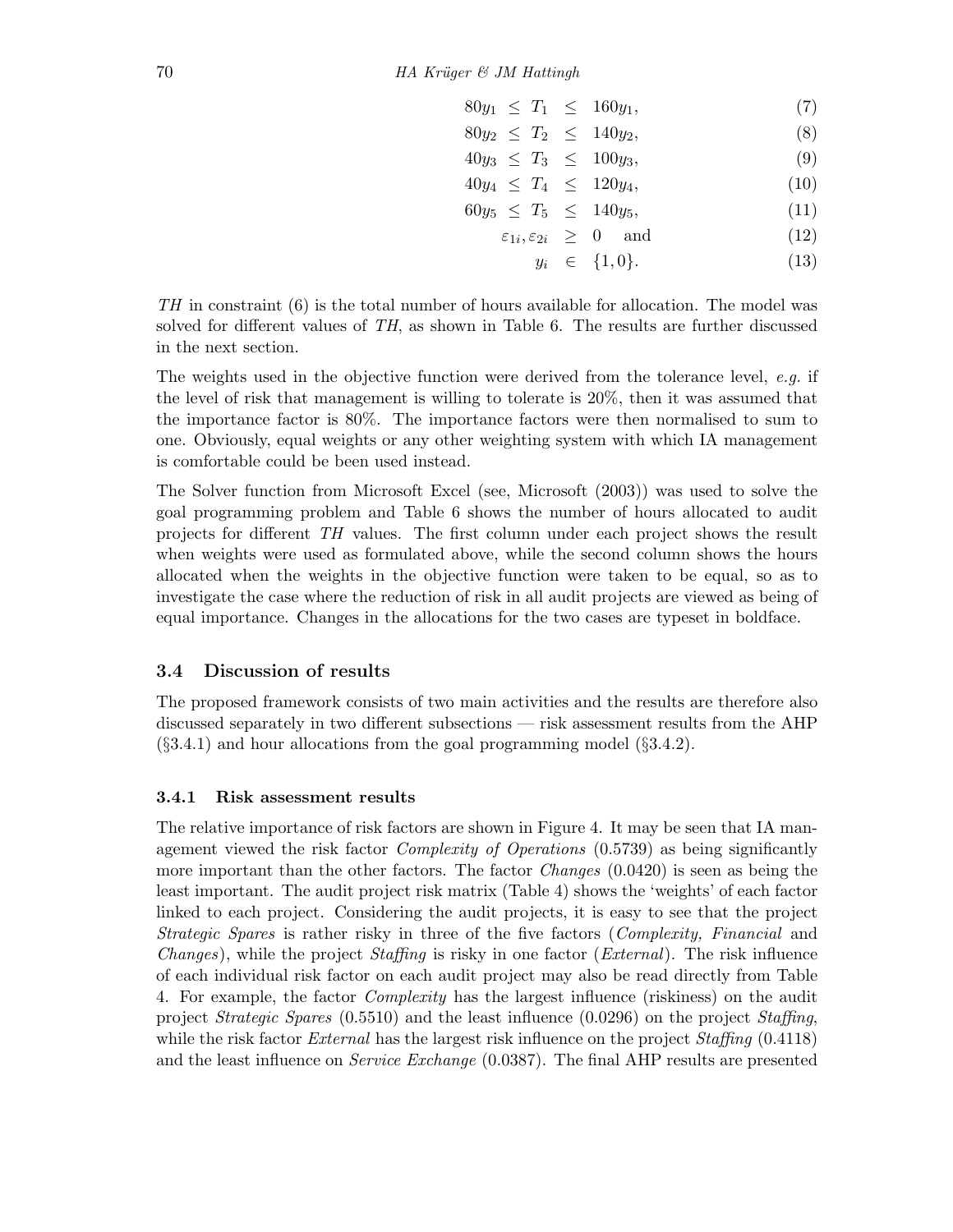$$
80y_1 \leq T_1 \leq 160y_1,\tag{7}
$$

$$
80y_2 \leq T_2 \leq 140y_2,\tag{8}
$$

$$
40y_3 \leq T_3 \leq 100y_3,\tag{9}
$$

$$
40y_4 \leq T_4 \leq 120y_4, \tag{10}
$$

$$
60y_5 \leq T_5 \leq 140y_5, \tag{11}
$$

$$
\varepsilon_{1i}, \varepsilon_{2i} \geq 0 \quad \text{and} \quad (12)
$$

$$
y_i \in \{1, 0\}.\tag{13}
$$

TH in constraint (6) is the total number of hours available for allocation. The model was solved for different values of TH, as shown in Table 6. The results are further discussed in the next section.

The weights used in the objective function were derived from the tolerance level, e.g. if the level of risk that management is willing to tolerate is 20%, then it was assumed that the importance factor is 80%. The importance factors were then normalised to sum to one. Obviously, equal weights or any other weighting system with which IA management is comfortable could be been used instead.

The Solver function from Microsoft Excel (see, Microsoft (2003)) was used to solve the goal programming problem and Table 6 shows the number of hours allocated to audit projects for different TH values. The first column under each project shows the result when weights were used as formulated above, while the second column shows the hours allocated when the weights in the objective function were taken to be equal, so as to investigate the case where the reduction of risk in all audit projects are viewed as being of equal importance. Changes in the allocations for the two cases are typeset in boldface.

## 3.4 Discussion of results

The proposed framework consists of two main activities and the results are therefore also discussed separately in two different subsections — risk assessment results from the AHP  $(\S 3.4.1)$  and hour allocations from the goal programming model  $(\S 3.4.2)$ .

### 3.4.1 Risk assessment results

The relative importance of risk factors are shown in Figure 4. It may be seen that IA management viewed the risk factor Complexity of Operations (0.5739) as being significantly more important than the other factors. The factor *Changes* (0.0420) is seen as being the least important. The audit project risk matrix (Table 4) shows the 'weights' of each factor linked to each project. Considering the audit projects, it is easy to see that the project Strategic Spares is rather risky in three of the five factors (Complexity, Financial and Changes), while the project Staffing is risky in one factor (External). The risk influence of each individual risk factor on each audit project may also be read directly from Table 4. For example, the factor Complexity has the largest influence (riskiness) on the audit project Strategic Spares (0.5510) and the least influence (0.0296) on the project Staffing, while the risk factor *External* has the largest risk influence on the project *Staffing* (0.4118) and the least influence on Service Exchange (0.0387). The final AHP results are presented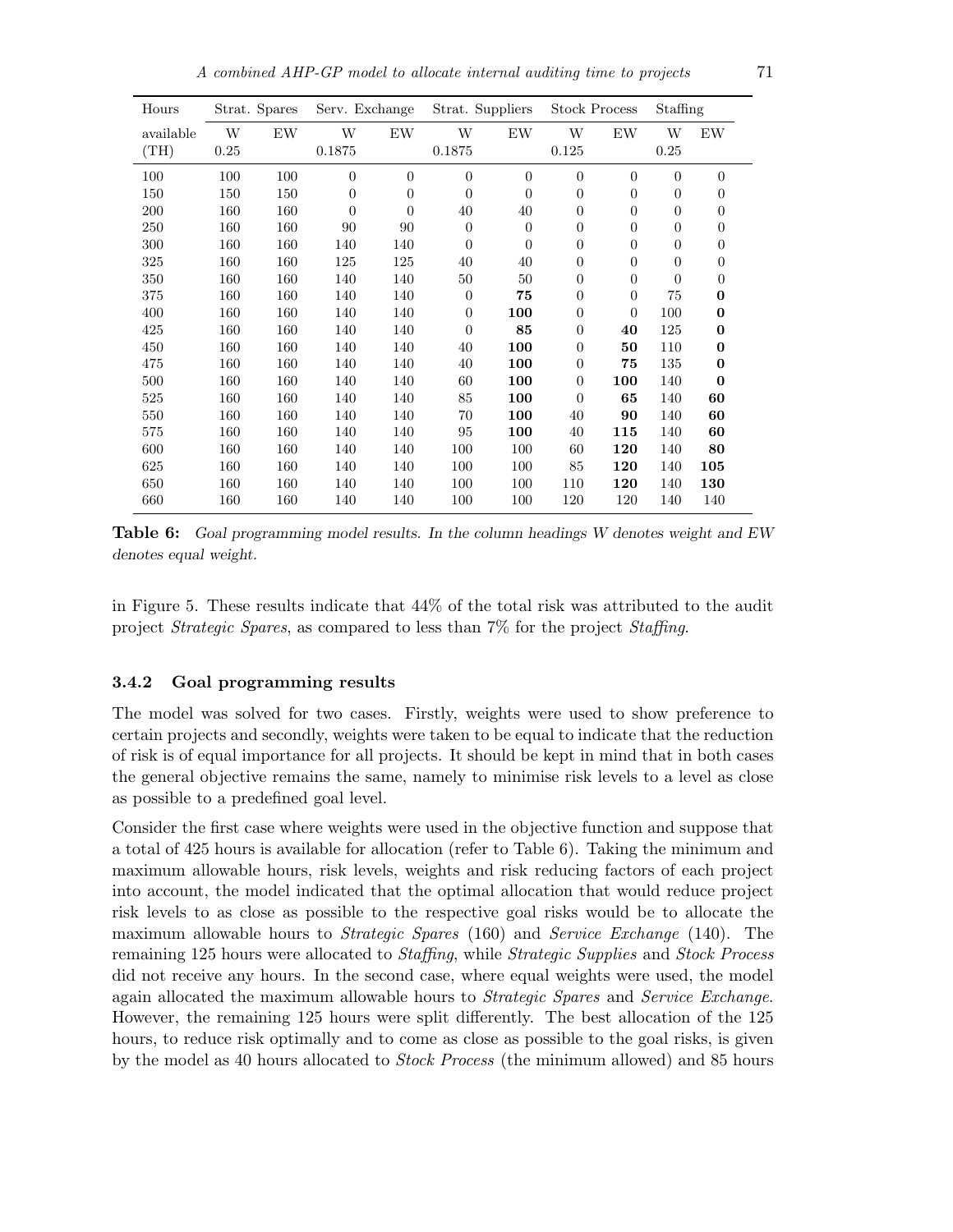| Hours     |      | Strat. Spares | Serv. Exchange |                  | Strat. Suppliers |                | <b>Stock Process</b> |                | Staffing         |                |  |
|-----------|------|---------------|----------------|------------------|------------------|----------------|----------------------|----------------|------------------|----------------|--|
| available | W    | EW            | W              | EW               | W                | EW             | W                    | EW             | W                | EW             |  |
| (TH)      | 0.25 |               | 0.1875         |                  | 0.1875           |                | 0.125                |                | 0.25             |                |  |
| 100       | 100  | 100           | $\overline{0}$ | $\boldsymbol{0}$ | $\theta$         | $\overline{0}$ | $\overline{0}$       | $\overline{0}$ | $\boldsymbol{0}$ | $\overline{0}$ |  |
| 150       | 150  | 150           | $\overline{0}$ | $\overline{0}$   | $\Omega$         | $\overline{0}$ | $\boldsymbol{0}$     | $\overline{0}$ | $\boldsymbol{0}$ | 0              |  |
| 200       | 160  | 160           | $\theta$       | $\Omega$         | 40               | 40             | $\overline{0}$       | $\overline{0}$ | $\overline{0}$   | $\overline{0}$ |  |
| 250       | 160  | 160           | 90             | 90               | $\Omega$         | $\overline{0}$ | $\overline{0}$       | $\overline{0}$ | $\boldsymbol{0}$ | $\overline{0}$ |  |
| 300       | 160  | 160           | 140            | 140              | $\theta$         | $\overline{0}$ | $\overline{0}$       | $\overline{0}$ | $\boldsymbol{0}$ | $\overline{0}$ |  |
| 325       | 160  | 160           | 125            | 125              | 40               | 40             | $\boldsymbol{0}$     | $\overline{0}$ | $\boldsymbol{0}$ | 0              |  |
| 350       | 160  | 160           | 140            | 140              | 50               | 50             | $\boldsymbol{0}$     | $\overline{0}$ | 0                | 0              |  |
| 375       | 160  | 160           | 140            | 140              | $\theta$         | 75             | $\boldsymbol{0}$     | $\overline{0}$ | 75               | 0              |  |
| 400       | 160  | 160           | 140            | 140              | $\overline{0}$   | 100            | $\boldsymbol{0}$     | $\overline{0}$ | 100              | 0              |  |
| 425       | 160  | 160           | 140            | 140              | $\overline{0}$   | 85             | $\boldsymbol{0}$     | 40             | 125              | $\bf{0}$       |  |
| 450       | 160  | 160           | 140            | 140              | 40               | 100            | $\boldsymbol{0}$     | 50             | 110              | $\bf{0}$       |  |
| 475       | 160  | 160           | 140            | 140              | 40               | 100            | $\boldsymbol{0}$     | 75             | 135              | $\bf{0}$       |  |
| 500       | 160  | 160           | 140            | 140              | 60               | 100            | $\boldsymbol{0}$     | 100            | 140              | $\mathbf{0}$   |  |
| 525       | 160  | 160           | 140            | 140              | 85               | 100            | $\overline{0}$       | 65             | 140              | 60             |  |
| 550       | 160  | 160           | 140            | 140              | 70               | 100            | 40                   | 90             | 140              | 60             |  |
| 575       | 160  | 160           | 140            | 140              | 95               | 100            | 40                   | 115            | 140              | 60             |  |
| 600       | 160  | 160           | 140            | 140              | 100              | 100            | 60                   | 120            | 140              | 80             |  |
| 625       | 160  | 160           | 140            | 140              | 100              | 100            | 85                   | 120            | 140              | 105            |  |
| 650       | 160  | 160           | 140            | 140              | 100              | 100            | 110                  | 120            | 140              | 130            |  |
| 660       | 160  | 160           | 140            | 140              | 100              | 100            | 120                  | 120            | 140              | 140            |  |

Table 6: Goal programming model results. In the column headings W denotes weight and EW denotes equal weight.

in Figure 5. These results indicate that 44% of the total risk was attributed to the audit project Strategic Spares, as compared to less than 7% for the project Staffing.

### 3.4.2 Goal programming results

The model was solved for two cases. Firstly, weights were used to show preference to certain projects and secondly, weights were taken to be equal to indicate that the reduction of risk is of equal importance for all projects. It should be kept in mind that in both cases the general objective remains the same, namely to minimise risk levels to a level as close as possible to a predefined goal level.

Consider the first case where weights were used in the objective function and suppose that a total of 425 hours is available for allocation (refer to Table 6). Taking the minimum and maximum allowable hours, risk levels, weights and risk reducing factors of each project into account, the model indicated that the optimal allocation that would reduce project risk levels to as close as possible to the respective goal risks would be to allocate the maximum allowable hours to Strategic Spares (160) and Service Exchange (140). The remaining 125 hours were allocated to Staffing, while Strategic Supplies and Stock Process did not receive any hours. In the second case, where equal weights were used, the model again allocated the maximum allowable hours to Strategic Spares and Service Exchange. However, the remaining 125 hours were split differently. The best allocation of the 125 hours, to reduce risk optimally and to come as close as possible to the goal risks, is given by the model as 40 hours allocated to Stock Process (the minimum allowed) and 85 hours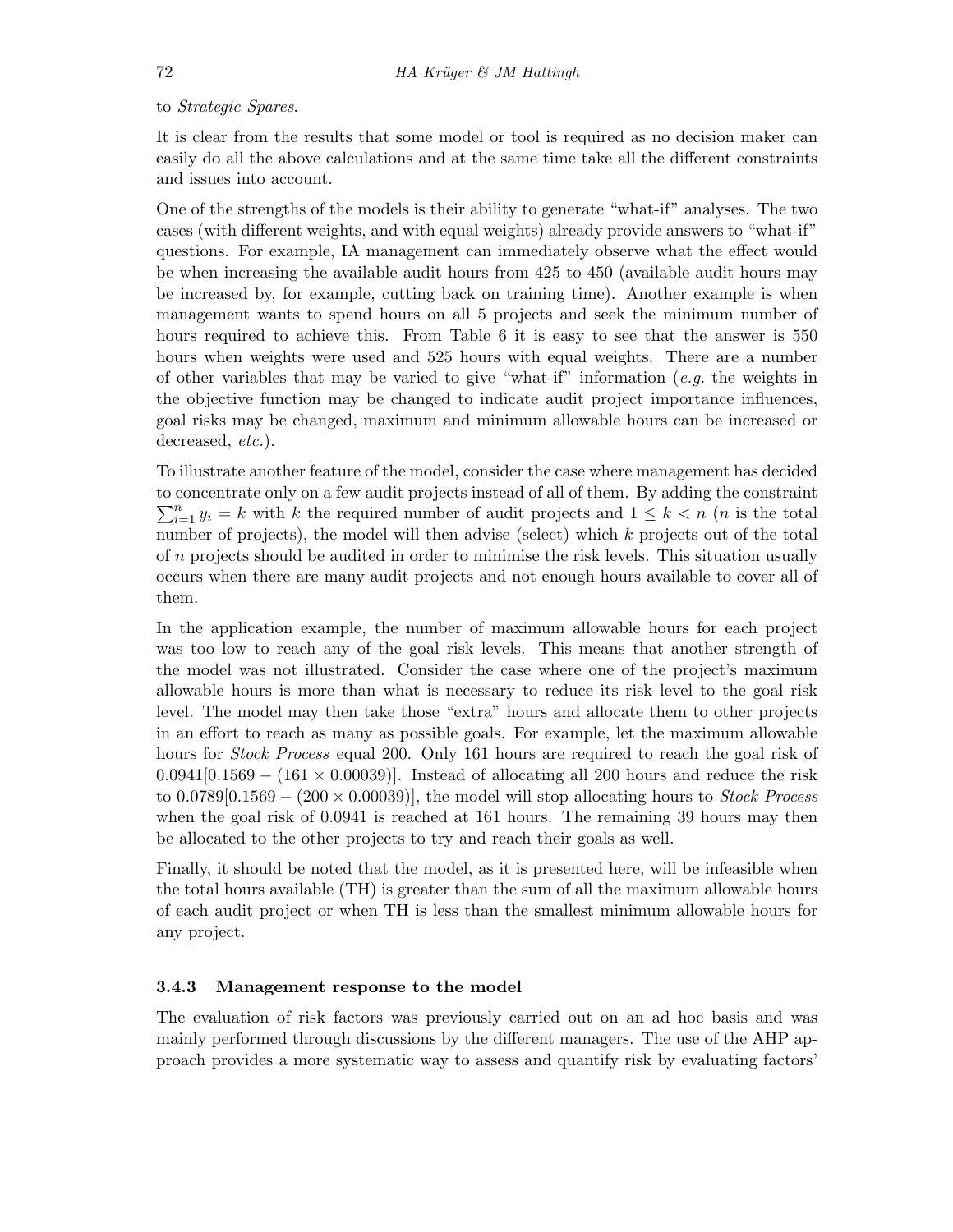#### to Strategic Spares.

It is clear from the results that some model or tool is required as no decision maker can easily do all the above calculations and at the same time take all the different constraints and issues into account.

One of the strengths of the models is their ability to generate "what-if" analyses. The two cases (with different weights, and with equal weights) already provide answers to "what-if" questions. For example, IA management can immediately observe what the effect would be when increasing the available audit hours from 425 to 450 (available audit hours may be increased by, for example, cutting back on training time). Another example is when management wants to spend hours on all 5 projects and seek the minimum number of hours required to achieve this. From Table 6 it is easy to see that the answer is 550 hours when weights were used and 525 hours with equal weights. There are a number of other variables that may be varied to give "what-if" information  $(e.g.$  the weights in the objective function may be changed to indicate audit project importance influences, goal risks may be changed, maximum and minimum allowable hours can be increased or decreased, *etc.*).

To illustrate another feature of the model, consider the case where management has decided to concentrate only on a few audit projects instead of all of them. By adding the constraint  $\sum_{i=1}^{n} y_i = k$  with k the required number of audit projects and  $1 \leq k < n$  (*n* is the total number of projects), the model will then advise (select) which k projects out of the total of  $n$  projects should be audited in order to minimise the risk levels. This situation usually occurs when there are many audit projects and not enough hours available to cover all of them.

In the application example, the number of maximum allowable hours for each project was too low to reach any of the goal risk levels. This means that another strength of the model was not illustrated. Consider the case where one of the project's maximum allowable hours is more than what is necessary to reduce its risk level to the goal risk level. The model may then take those "extra" hours and allocate them to other projects in an effort to reach as many as possible goals. For example, let the maximum allowable hours for *Stock Process* equal 200. Only 161 hours are required to reach the goal risk of  $(0.0941[0.1569 - (161 \times 0.00039))$ . Instead of allocating all 200 hours and reduce the risk to  $0.0789[0.1569 - (200 \times 0.00039)]$ , the model will stop allocating hours to *Stock Process* when the goal risk of 0.0941 is reached at 161 hours. The remaining 39 hours may then be allocated to the other projects to try and reach their goals as well.

Finally, it should be noted that the model, as it is presented here, will be infeasible when the total hours available (TH) is greater than the sum of all the maximum allowable hours of each audit project or when TH is less than the smallest minimum allowable hours for any project.

#### 3.4.3 Management response to the model

The evaluation of risk factors was previously carried out on an ad hoc basis and was mainly performed through discussions by the different managers. The use of the AHP approach provides a more systematic way to assess and quantify risk by evaluating factors'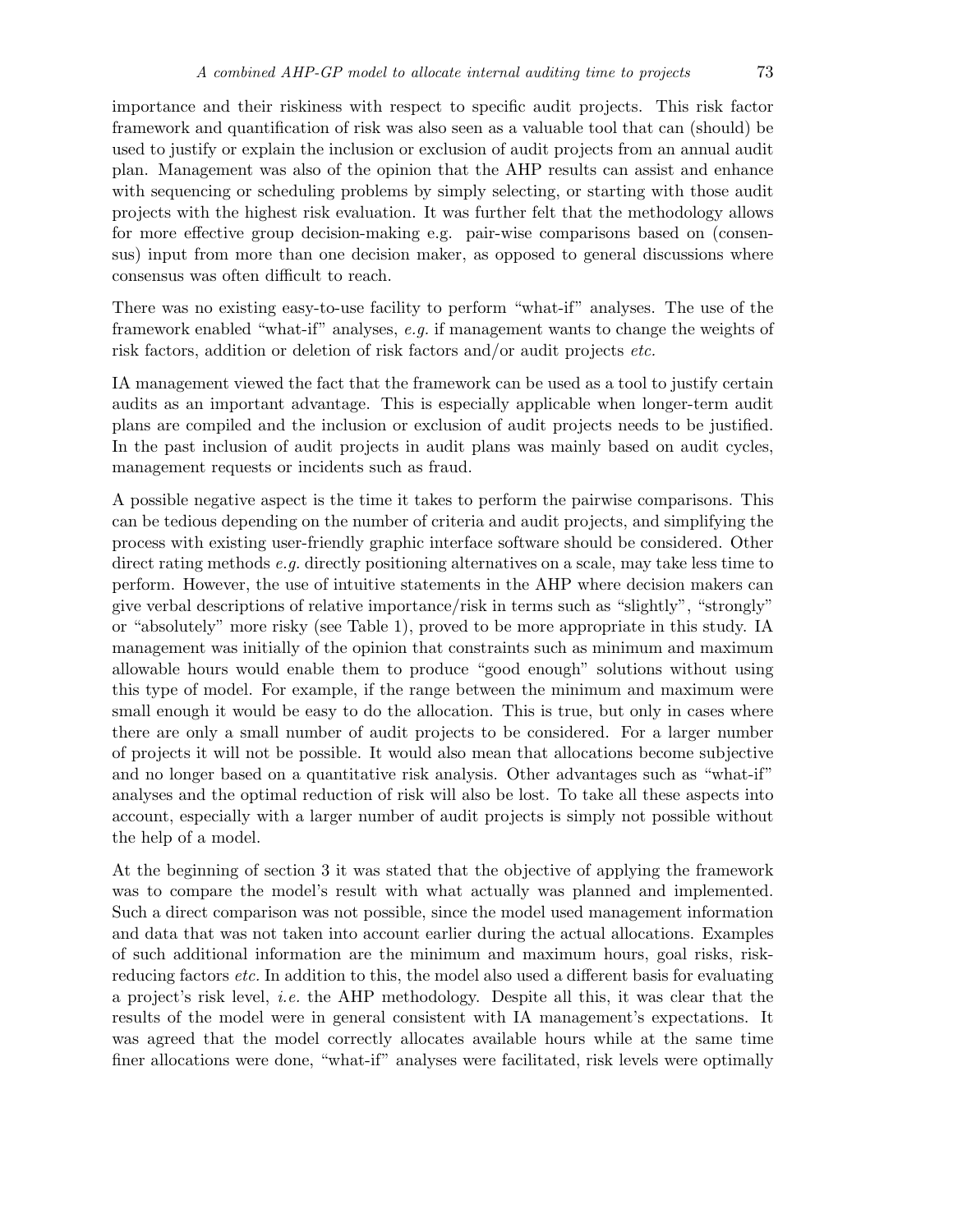importance and their riskiness with respect to specific audit projects. This risk factor framework and quantification of risk was also seen as a valuable tool that can (should) be used to justify or explain the inclusion or exclusion of audit projects from an annual audit plan. Management was also of the opinion that the AHP results can assist and enhance with sequencing or scheduling problems by simply selecting, or starting with those audit projects with the highest risk evaluation. It was further felt that the methodology allows for more effective group decision-making e.g. pair-wise comparisons based on (consensus) input from more than one decision maker, as opposed to general discussions where consensus was often difficult to reach.

There was no existing easy-to-use facility to perform "what-if" analyses. The use of the framework enabled "what-if" analyses, e.g. if management wants to change the weights of risk factors, addition or deletion of risk factors and/or audit projects etc.

IA management viewed the fact that the framework can be used as a tool to justify certain audits as an important advantage. This is especially applicable when longer-term audit plans are compiled and the inclusion or exclusion of audit projects needs to be justified. In the past inclusion of audit projects in audit plans was mainly based on audit cycles, management requests or incidents such as fraud.

A possible negative aspect is the time it takes to perform the pairwise comparisons. This can be tedious depending on the number of criteria and audit projects, and simplifying the process with existing user-friendly graphic interface software should be considered. Other direct rating methods e.g. directly positioning alternatives on a scale, may take less time to perform. However, the use of intuitive statements in the AHP where decision makers can give verbal descriptions of relative importance/risk in terms such as "slightly", "strongly" or "absolutely" more risky (see Table 1), proved to be more appropriate in this study. IA management was initially of the opinion that constraints such as minimum and maximum allowable hours would enable them to produce "good enough" solutions without using this type of model. For example, if the range between the minimum and maximum were small enough it would be easy to do the allocation. This is true, but only in cases where there are only a small number of audit projects to be considered. For a larger number of projects it will not be possible. It would also mean that allocations become subjective and no longer based on a quantitative risk analysis. Other advantages such as "what-if" analyses and the optimal reduction of risk will also be lost. To take all these aspects into account, especially with a larger number of audit projects is simply not possible without the help of a model.

At the beginning of section 3 it was stated that the objective of applying the framework was to compare the model's result with what actually was planned and implemented. Such a direct comparison was not possible, since the model used management information and data that was not taken into account earlier during the actual allocations. Examples of such additional information are the minimum and maximum hours, goal risks, riskreducing factors *etc.* In addition to this, the model also used a different basis for evaluating a project's risk level, i.e. the AHP methodology. Despite all this, it was clear that the results of the model were in general consistent with IA management's expectations. It was agreed that the model correctly allocates available hours while at the same time finer allocations were done, "what-if" analyses were facilitated, risk levels were optimally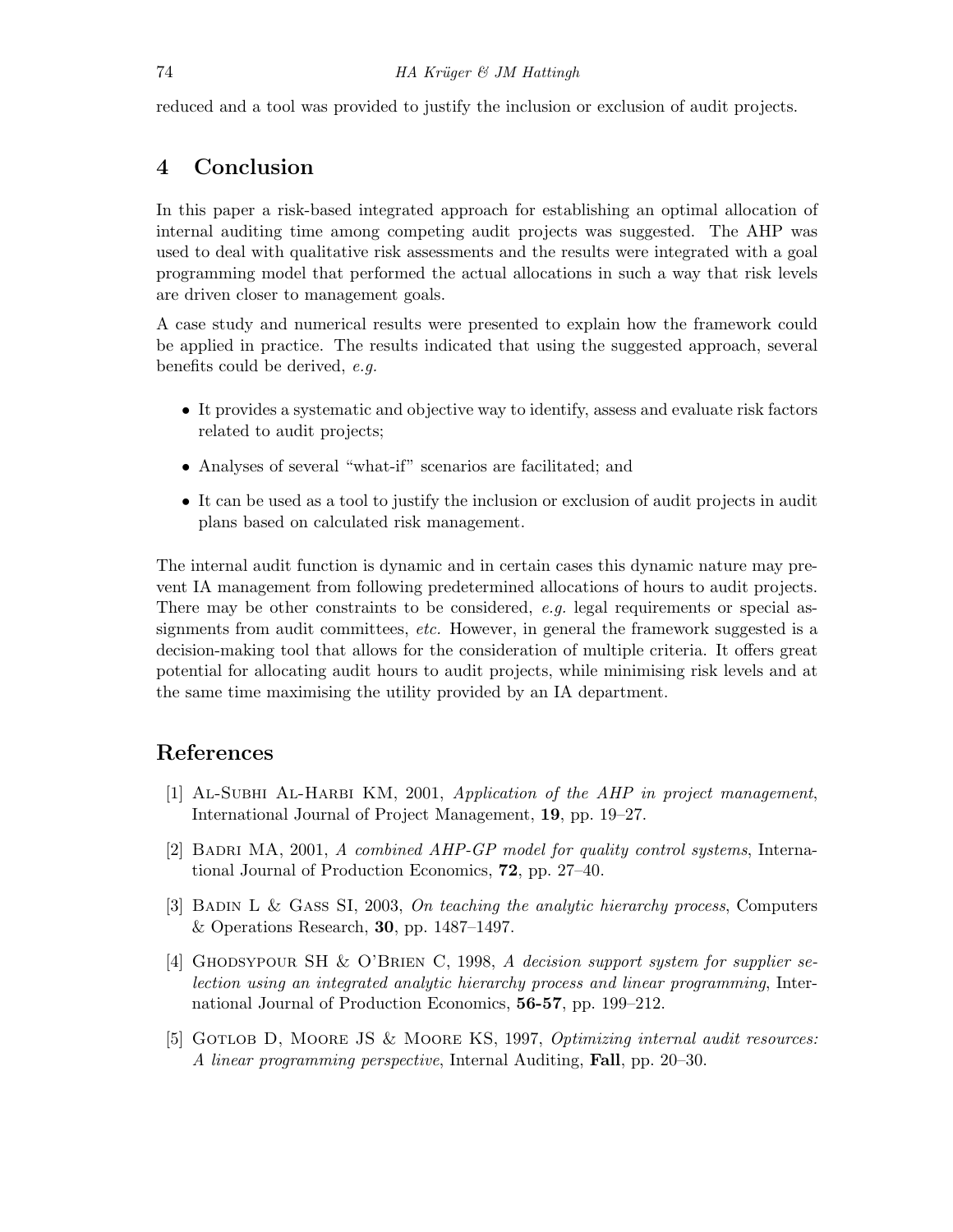reduced and a tool was provided to justify the inclusion or exclusion of audit projects.

# 4 Conclusion

In this paper a risk-based integrated approach for establishing an optimal allocation of internal auditing time among competing audit projects was suggested. The AHP was used to deal with qualitative risk assessments and the results were integrated with a goal programming model that performed the actual allocations in such a way that risk levels are driven closer to management goals.

A case study and numerical results were presented to explain how the framework could be applied in practice. The results indicated that using the suggested approach, several benefits could be derived, e.g.

- It provides a systematic and objective way to identify, assess and evaluate risk factors related to audit projects;
- Analyses of several "what-if" scenarios are facilitated; and
- It can be used as a tool to justify the inclusion or exclusion of audit projects in audit plans based on calculated risk management.

The internal audit function is dynamic and in certain cases this dynamic nature may prevent IA management from following predetermined allocations of hours to audit projects. There may be other constraints to be considered,  $e,q$ , legal requirements or special assignments from audit committees, *etc.* However, in general the framework suggested is a decision-making tool that allows for the consideration of multiple criteria. It offers great potential for allocating audit hours to audit projects, while minimising risk levels and at the same time maximising the utility provided by an IA department.

# References

- [1] Al-Subhi Al-Harbi KM, 2001, Application of the AHP in project management, International Journal of Project Management, 19, pp. 19–27.
- [2] BADRI MA, 2001, A combined AHP-GP model for quality control systems, International Journal of Production Economics, 72, pp. 27–40.
- [3] Badin L & Gass SI, 2003, On teaching the analytic hierarchy process, Computers & Operations Research, 30, pp. 1487–1497.
- [4] Ghodsypour SH & O'Brien C, 1998, A decision support system for supplier selection using an integrated analytic hierarchy process and linear programming, International Journal of Production Economics, 56-57, pp. 199–212.
- [5] GOTLOB D, MOORE JS & MOORE KS, 1997, *Optimizing internal audit resources:* A linear programming perspective, Internal Auditing, Fall, pp. 20–30.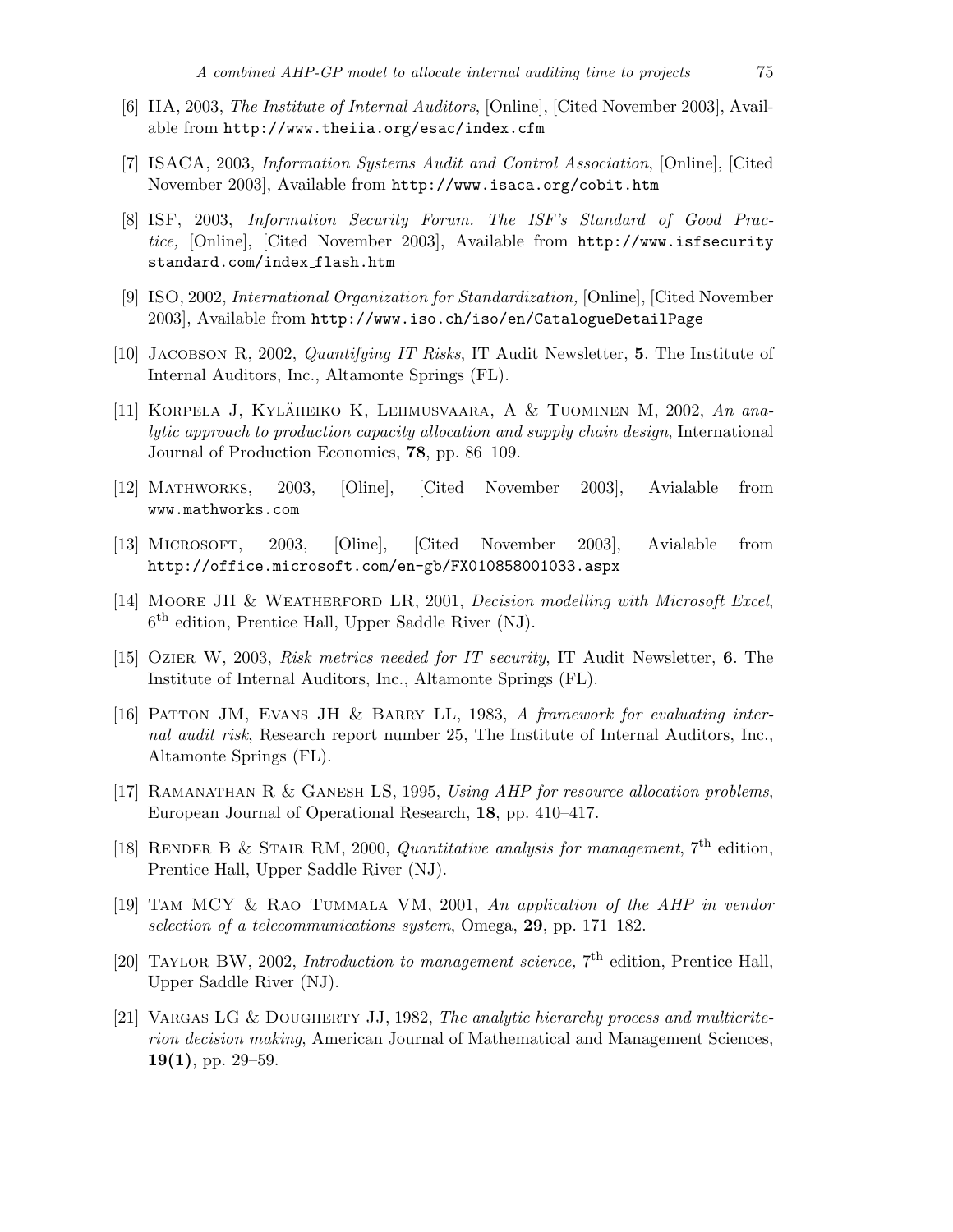- [6] IIA, 2003, The Institute of Internal Auditors, [Online], [Cited November 2003], Available from http://www.theiia.org/esac/index.cfm
- [7] ISACA, 2003, Information Systems Audit and Control Association, [Online], [Cited November 2003], Available from http://www.isaca.org/cobit.htm
- [8] ISF, 2003, Information Security Forum. The ISF's Standard of Good Practice, [Online], [Cited November 2003], Available from http://www.isfsecurity standard.com/index flash.htm
- [9] ISO, 2002, International Organization for Standardization, [Online], [Cited November 2003], Available from http://www.iso.ch/iso/en/CatalogueDetailPage
- [10] JACOBSON R, 2002, *Quantifying IT Risks*, IT Audit Newsletter, 5. The Institute of Internal Auditors, Inc., Altamonte Springs (FL).
- [11] KORPELA J, KYLÄHEIKO K, LEHMUSVAARA, A & TUOMINEN M, 2002, An analytic approach to production capacity allocation and supply chain design, International Journal of Production Economics, 78, pp. 86–109.
- [12] Mathworks, 2003, [Oline], [Cited November 2003], Avialable from www.mathworks.com
- [13] Microsoft, 2003, [Oline], [Cited November 2003], Avialable from http://office.microsoft.com/en-gb/FX010858001033.aspx
- [14] MOORE JH & WEATHERFORD LR, 2001, Decision modelling with Microsoft Excel, 6 th edition, Prentice Hall, Upper Saddle River (NJ).
- [15] Ozier W, 2003, Risk metrics needed for IT security, IT Audit Newsletter, 6. The Institute of Internal Auditors, Inc., Altamonte Springs (FL).
- [16] Patton JM, Evans JH & Barry LL, 1983, A framework for evaluating internal audit risk, Research report number 25, The Institute of Internal Auditors, Inc., Altamonte Springs (FL).
- [17] Ramanathan R & Ganesh LS, 1995, Using AHP for resource allocation problems, European Journal of Operational Research, 18, pp. 410–417.
- [18] RENDER B & STAIR RM, 2000, Quantitative analysis for management,  $7<sup>th</sup>$  edition, Prentice Hall, Upper Saddle River (NJ).
- [19] Tam MCY & Rao Tummala VM, 2001, An application of the AHP in vendor selection of a telecommunications system, Omega, 29, pp. 171–182.
- [20] TAYLOR BW, 2002, *Introduction to management science*, 7<sup>th</sup> edition, Prentice Hall, Upper Saddle River (NJ).
- [21] VARGAS LG & DOUGHERTY JJ, 1982, The analytic hierarchy process and multicriterion decision making, American Journal of Mathematical and Management Sciences,  $19(1)$ , pp. 29–59.